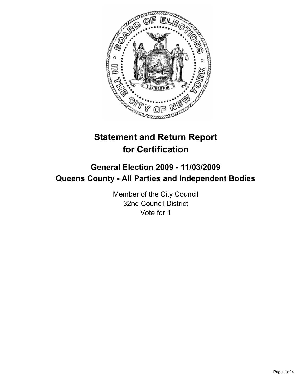

# **Statement and Return Report for Certification**

## **General Election 2009 - 11/03/2009 Queens County - All Parties and Independent Bodies**

Member of the City Council 32nd Council District Vote for 1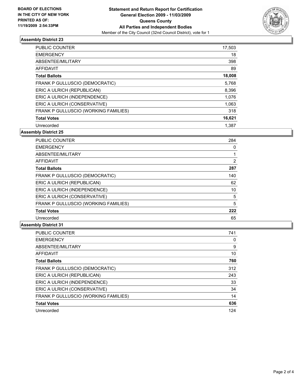

### **Assembly District 23**

| <b>PUBLIC COUNTER</b>                | 17,503 |
|--------------------------------------|--------|
| <b>EMERGENCY</b>                     | 18     |
| ABSENTEE/MILITARY                    | 398    |
| AFFIDAVIT                            | 89     |
| <b>Total Ballots</b>                 | 18,008 |
| FRANK P GULLUSCIO (DEMOCRATIC)       | 5,768  |
| ERIC A ULRICH (REPUBLICAN)           | 8,396  |
| ERIC A ULRICH (INDEPENDENCE)         | 1,076  |
| ERIC A ULRICH (CONSERVATIVE)         | 1,063  |
| FRANK P GULLUSCIO (WORKING FAMILIES) | 318    |
| <b>Total Votes</b>                   | 16,621 |
| Unrecorded                           | 1.387  |

**Assembly District 25**

| <b>PUBLIC COUNTER</b>                | 284 |
|--------------------------------------|-----|
| <b>EMERGENCY</b>                     | 0   |
| ABSENTEE/MILITARY                    | 1   |
| <b>AFFIDAVIT</b>                     | 2   |
| <b>Total Ballots</b>                 | 287 |
| FRANK P GULLUSCIO (DEMOCRATIC)       | 140 |
| ERIC A ULRICH (REPUBLICAN)           | 62  |
| ERIC A ULRICH (INDEPENDENCE)         | 10  |
| ERIC A ULRICH (CONSERVATIVE)         | 5   |
| FRANK P GULLUSCIO (WORKING FAMILIES) | 5   |
| <b>Total Votes</b>                   | 222 |
| Unrecorded                           | 65  |

#### **Assembly District 31**

| <b>PUBLIC COUNTER</b>                | 741 |
|--------------------------------------|-----|
| <b>EMERGENCY</b>                     | 0   |
| ABSENTEE/MILITARY                    | 9   |
| <b>AFFIDAVIT</b>                     | 10  |
| <b>Total Ballots</b>                 | 760 |
| FRANK P GULLUSCIO (DEMOCRATIC)       | 312 |
| ERIC A ULRICH (REPUBLICAN)           | 243 |
| ERIC A ULRICH (INDEPENDENCE)         | 33  |
| ERIC A ULRICH (CONSERVATIVE)         | 34  |
| FRANK P GULLUSCIO (WORKING FAMILIES) | 14  |
| <b>Total Votes</b>                   | 636 |
| Unrecorded                           | 124 |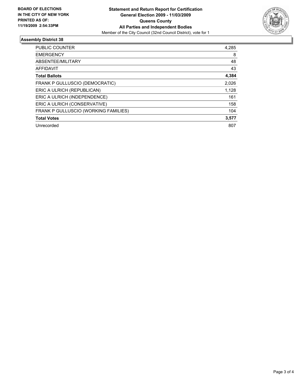

### **Assembly District 38**

| PUBLIC COUNTER                       | 4,285 |
|--------------------------------------|-------|
| <b>EMERGENCY</b>                     | 8     |
| ABSENTEE/MILITARY                    | 48    |
| <b>AFFIDAVIT</b>                     | 43    |
| <b>Total Ballots</b>                 | 4,384 |
| FRANK P GULLUSCIO (DEMOCRATIC)       | 2,026 |
| ERIC A ULRICH (REPUBLICAN)           | 1,128 |
| ERIC A ULRICH (INDEPENDENCE)         | 161   |
| ERIC A ULRICH (CONSERVATIVE)         | 158   |
| FRANK P GULLUSCIO (WORKING FAMILIES) | 104   |
| <b>Total Votes</b>                   | 3,577 |
| Unrecorded                           | 807   |